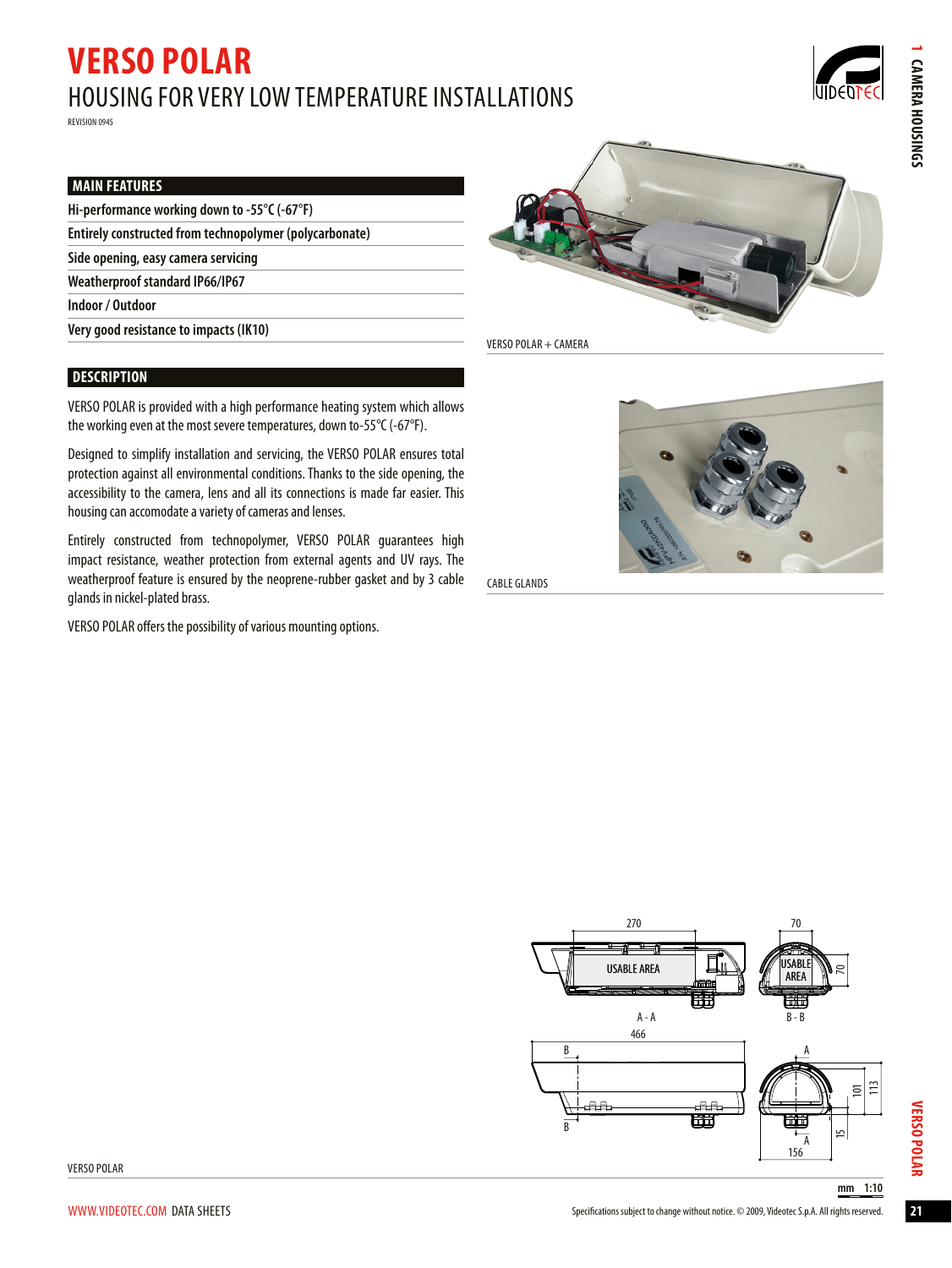# **VERSO POLAR** Housing for very low temperature installations

Revision 0945

**CAMERA HOUSINGS** 

# **Main Features**

| Hi-performance working down to -55 $\degree$ C (-67 $\degree$ F) |  |  |  |  |
|------------------------------------------------------------------|--|--|--|--|
|------------------------------------------------------------------|--|--|--|--|

**Entirely constructed from technopolymer (polycarbonate)**

**Side opening, easy camera servicing**

**Weatherproof standard IP66/IP67**

**Indoor / Outdoor**

**Very good resistance to impacts (IK10)**

# **Description**

VERSO POLAR is provided with a high performance heating system which allows the working even at the most severe temperatures, down to-55 $\degree$ C (-67 $\degree$ F).

Designed to simplify installation and servicing, the VERSO POLAR ensures total protection against all environmental conditions.Thanks to the side opening, the accessibility to the camera, lens and all its connections is made far easier. This housing can accomodate a variety of cameras and lenses.

Entirely constructed from technopolymer, VERSO POLAR guarantees high impact resistance, weather protection from external agents and UV rays. The weatherproof feature is ensured by the neoprene-rubber gasket and by 3 cable glands in nickel-plated brass.

VERSO POLAR offers the possibility of various mounting options.



VERSO POLAR + Camera



Cable glands



**VERSO POLAR 1 Camera housings**